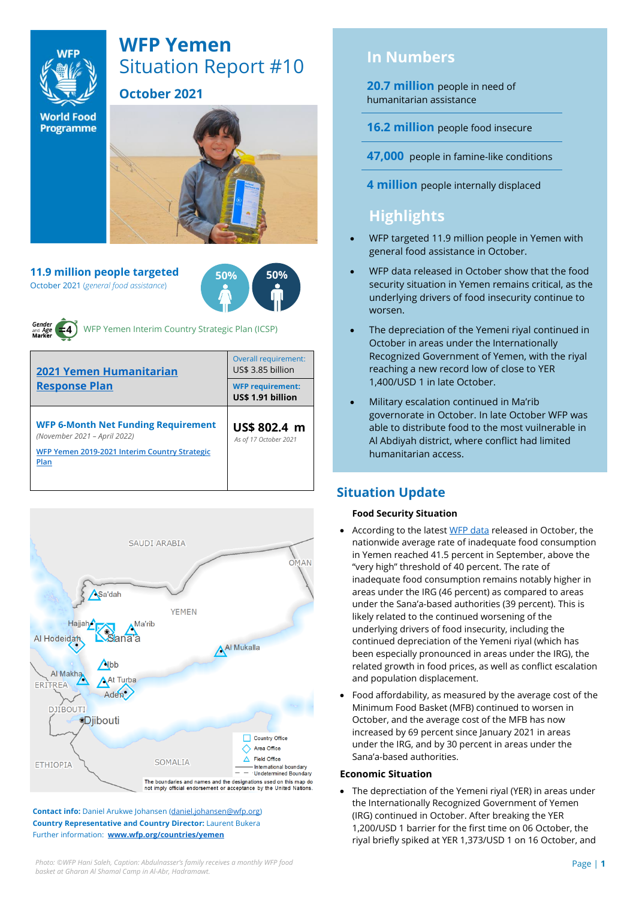

# **WFP Yemen** Situation Report #10

**October 2021**

**World Food Programme** 

**11.9 million people targeted** October 2021 (*general food assistance*)





WFP Yemen Interim Country Strategic Plan (ICSP)

| <b>2021 Yemen Humanitarian</b><br><b>Response Plan</b>                     | Overall requirement:<br>US\$ 3.85 billion    |  |  |
|----------------------------------------------------------------------------|----------------------------------------------|--|--|
|                                                                            | <b>WFP requirement:</b><br>US\$ 1.91 billion |  |  |
| <b>WFP 6-Month Net Funding Requirement</b><br>(November 2021 - April 2022) | US\$ 802.4 m                                 |  |  |
|                                                                            | As of 17 October 2021                        |  |  |



**Contact info:** Daniel Arukwe Johansen [\(daniel.johansen@wfp.org\)](mailto:daniel.johansen@wfp.org) **Country Representative and Country Director:** Laurent Bukera Further information: **[www.wfp.org/countries/yemen](http://www.wfp.org/countries/yemen)**

# **In Numbers**

**20.7 million** people in need of humanitarian assistance

**16.2 million** people food insecure

**47,000** people in famine-like conditions

**4 million** people internally displaced

# **Highlights**

- WFP targeted 11.9 million people in Yemen with general food assistance in October.
- WFP data released in October show that the food security situation in Yemen remains critical, as the underlying drivers of food insecurity continue to worsen.
- The depreciation of the Yemeni riyal continued in October in areas under the Internationally Recognized Government of Yemen, with the riyal reaching a new record low of close to YER 1,400/USD 1 in late October.
- Military escalation continued in Ma'rib governorate in October. In late October WFP was able to distribute food to the most vuilnerable in Al Abdiyah district, where conflict had limited humanitarian access.

# **Situation Update**

### **Food Security Situation**

- According to the lates[t WFP data](https://reliefweb.int/report/yemen/wfp-yemen-food-security-update-october-2021) released in October, the nationwide average rate of inadequate food consumption in Yemen reached 41.5 percent in September, above the "very high" threshold of 40 percent. The rate of inadequate food consumption remains notably higher in areas under the IRG (46 percent) as compared to areas under the Sana'a-based authorities (39 percent). This is likely related to the continued worsening of the underlying drivers of food insecurity, including the continued depreciation of the Yemeni riyal (which has been especially pronounced in areas under the IRG), the related growth in food prices, as well as conflict escalation and population displacement.
- Food affordability, as measured by the average cost of the Minimum Food Basket (MFB) continued to worsen in October, and the average cost of the MFB has now increased by 69 percent since January 2021 in areas under the IRG, and by 30 percent in areas under the Sana'a-based authorities.

### **Economic Situation**

• The deprectiation of the Yemeni riyal (YER) in areas under the Internationally Recognized Government of Yemen (IRG) continued in October. After breaking the YER 1,200/USD 1 barrier for the first time on 06 October, the riyal briefly spiked at YER 1,373/USD 1 on 16 October, and

*Photo: ©WFP Hani Saleh, Caption: Abdulnasser's family receives a monthly WFP food* Page | **1** *basket at Gharan Al Shamal Camp in Al-Abr, Hadramawt.*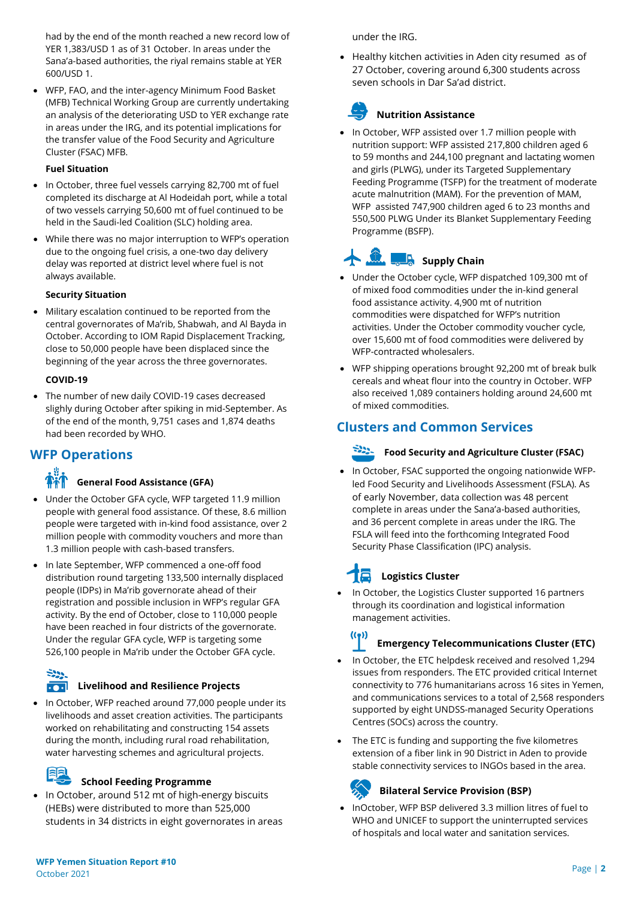had by the end of the month reached a new record low of YER 1,383/USD 1 as of 31 October. In areas under the Sana'a-based authorities, the riyal remains stable at YER 600/USD 1.

• WFP, FAO, and the inter-agency Minimum Food Basket (MFB) Technical Working Group are currently undertaking an analysis of the deteriorating USD to YER exchange rate in areas under the IRG, and its potential implications for the transfer value of the Food Security and Agriculture Cluster (FSAC) MFB.

### **Fuel Situation**

- In October, three fuel vessels carrying 82,700 mt of fuel completed its discharge at Al Hodeidah port, while a total of two vessels carrying 50,600 mt of fuel continued to be held in the Saudi-led Coalition (SLC) holding area.
- While there was no major interruption to WFP's operation due to the ongoing fuel crisis, a one-two day delivery delay was reported at district level where fuel is not always available.

#### **Security Situation**

• Military escalation continued to be reported from the central governorates of Ma'rib, Shabwah, and Al Bayda in October. According to IOM Rapid Displacement Tracking, close to 50,000 people have been displaced since the beginning of the year across the three governorates.

#### **COVID-19**

The number of new daily COVID-19 cases decreased slighly during October after spiking in mid-September. As of the end of the month, 9,751 cases and 1,874 deaths had been recorded by WHO.

### **WFP Operations**

### **General Food Assistance (GFA)**

- Under the October GFA cycle, WFP targeted 11.9 million people with general food assistance. Of these, 8.6 million people were targeted with in-kind food assistance, over 2 million people with commodity vouchers and more than 1.3 million people with cash-based transfers.
- In late September, WFP commenced a one-off food distribution round targeting 133,500 internally displaced people (IDPs) in Ma'rib governorate ahead of their registration and possible inclusion in WFP's regular GFA activity. By the end of October, close to 110,000 people have been reached in four districts of the governorate. Under the regular GFA cycle, WFP is targeting some 526,100 people in Ma'rib under the October GFA cycle.

### وديية **Livelihood and Resilience Projects**

• In October, WFP reached around 77,000 people under its livelihoods and asset creation activities. The participants worked on rehabilitating and constructing 154 assets during the month, including rural road rehabilitation, water harvesting schemes and agricultural projects.

### **School Feeding Programme**

• In October, around 512 mt of high-energy biscuits (HEBs) were distributed to more than 525,000 students in 34 districts in eight governorates in areas under the IRG.

• Healthy kitchen activities in Aden city resumed as of 27 October, covering around 6,300 students across seven schools in Dar Sa'ad district.

# **Nutrition Assistance**

• In October, WFP assisted over 1.7 million people with nutrition support: WFP assisted 217,800 children aged 6 to 59 months and 244,100 pregnant and lactating women and girls (PLWG), under its Targeted Supplementary Feeding Programme (TSFP) for the treatment of moderate acute malnutrition (MAM). For the prevention of MAM, WFP assisted 747,900 children aged 6 to 23 months and 550,500 PLWG Under its Blanket Supplementary Feeding Programme (BSFP).

# **Supply Chain**

- Under the October cycle, WFP dispatched 109,300 mt of of mixed food commodities under the in-kind general food assistance activity. 4,900 mt of nutrition commodities were dispatched for WFP's nutrition activities. Under the October commodity voucher cycle, over 15,600 mt of food commodities were delivered by WFP-contracted wholesalers.
- WFP shipping operations brought 92,200 mt of break bulk cereals and wheat flour into the country in October. WFP also received 1,089 containers holding around 24,600 mt of mixed commodities.

# **Clusters and Common Services**

### **Food Security and Agriculture Cluster (FSAC)**

• In October, FSAC supported the ongoing nationwide WFPled Food Security and Livelihoods Assessment (FSLA). As of early November, data collection was 48 percent complete in areas under the Sana'a-based authorities, and 36 percent complete in areas under the IRG. The FSLA will feed into the forthcoming Integrated Food Security Phase Classification (IPC) analysis.

# **Logistics Cluster**

In October, the Logistics Cluster supported 16 partners through its coordination and logistical information management activities.

#### $((\bullet))$ **Emergency Telecommunications Cluster (ETC)**

- In October, the ETC helpdesk received and resolved 1,294 issues from responders. The ETC provided critical Internet connectivity to 776 humanitarians across 16 sites in Yemen, and communications services to a total of 2,568 responders supported by eight UNDSS-managed Security Operations Centres (SOCs) across the country.
- The ETC is funding and supporting the five kilometres extension of a fiber link in 90 District in Aden to provide stable connectivity services to INGOs based in the area.

# **Bilateral Service Provision (BSP)**

• InOctober, WFP BSP delivered 3.3 million litres of fuel to WHO and UNICEF to support the uninterrupted services of hospitals and local water and sanitation services.